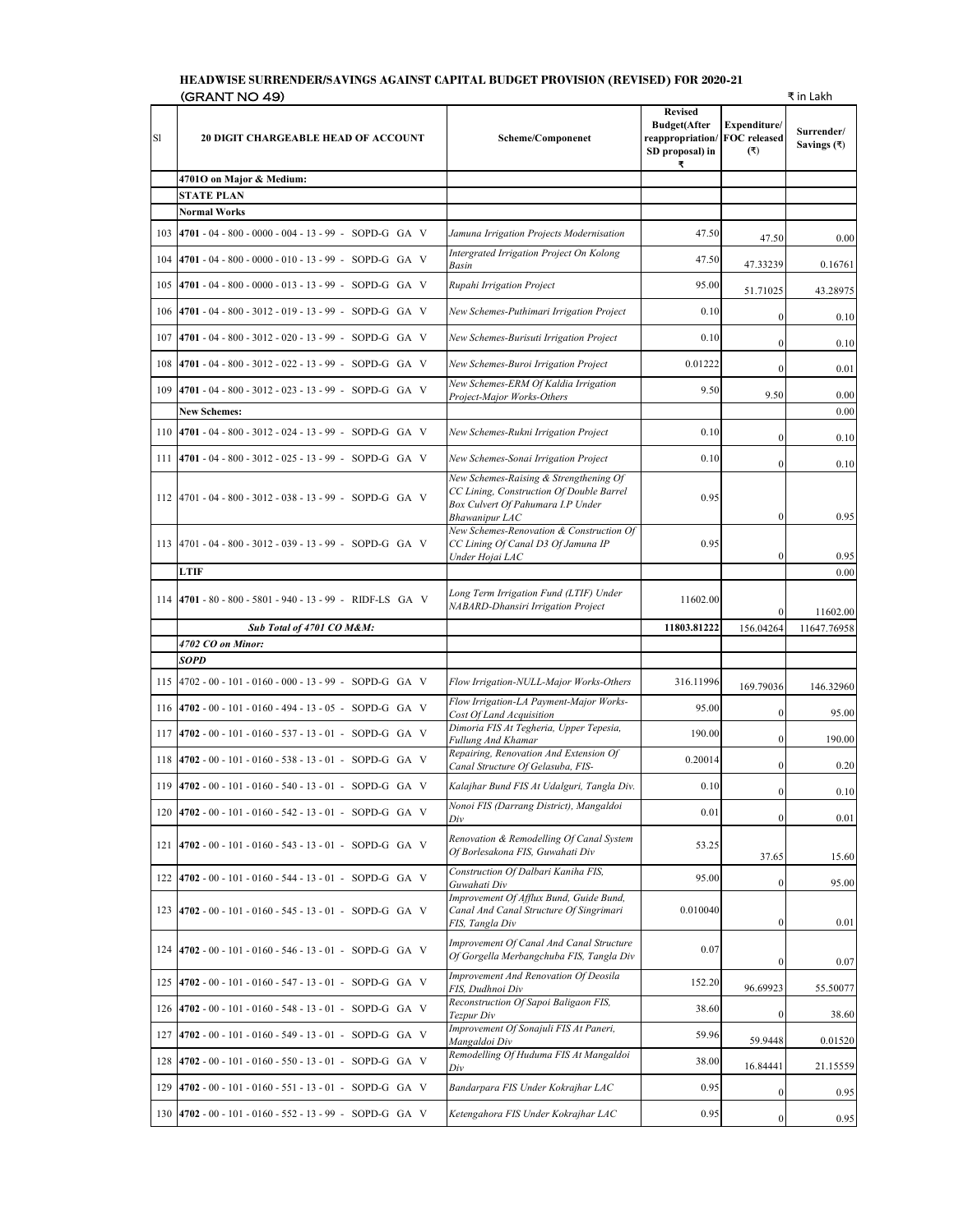## **HEADWISE SURRENDER/SAVINGS AGAINST CAPITAL BUDGET PROVISION (REVISED) FOR 2020-21**   $(\text{GRANT NO 49})$   $\qquad \qquad \qquad$   $\qquad \qquad$   $\qquad \qquad$   $\qquad$   $\qquad$   $\qquad$   $\qquad$   $\qquad$   $\qquad$   $\qquad$   $\qquad$   $\qquad$   $\qquad$   $\qquad$   $\qquad$   $\qquad$   $\qquad$   $\qquad$   $\qquad$   $\qquad$   $\qquad$   $\qquad$   $\qquad$   $\qquad$   $\qquad$   $\qquad$   $\qquad$   $\qquad$   $\qquad$   $\qquad$   $\qquad$   $\qquad$   $\qquad$

| S1  | <u> ພັນມີ ເປັນຕ</u><br><b>20 DIGIT CHARGEABLE HEAD OF ACCOUNT</b> | Scheme/Componenet                                                                                                                         | <b>Revised</b><br><b>Budget(After</b><br>reappropriation/<br>SD proposal) in<br>₹ | Expenditure/<br>FOC released<br>(3) | Surrender/<br>Savings $(3)$ |
|-----|-------------------------------------------------------------------|-------------------------------------------------------------------------------------------------------------------------------------------|-----------------------------------------------------------------------------------|-------------------------------------|-----------------------------|
|     | 4701O on Major & Medium:                                          |                                                                                                                                           |                                                                                   |                                     |                             |
|     | <b>STATE PLAN</b>                                                 |                                                                                                                                           |                                                                                   |                                     |                             |
|     | Normal Works                                                      |                                                                                                                                           |                                                                                   |                                     |                             |
| 103 | 4701 - 04 - 800 - 0000 - 004 - 13 - 99 - SOPD-G GA V              | Jamuna Irrigation Projects Modernisation                                                                                                  | 47.50                                                                             | 47.50                               | 0.00                        |
| 104 | 4701 - 04 - 800 - 0000 - 010 - 13 - 99 - SOPD-G GA V              | Intergrated Irrigation Project On Kolong<br>Basin                                                                                         | 47.50                                                                             | 47.33239                            | 0.16761                     |
| 105 | $4701 - 04 - 800 - 0000 - 013 - 13 - 99 - SOPD-G GA V$            | Rupahi Irrigation Project                                                                                                                 | 95.00                                                                             | 51.71025                            | 43.28975                    |
| 106 | $4701 - 04 - 800 - 3012 - 019 - 13 - 99$ - SOPD-G GA V            | New Schemes-Puthimari Irrigation Project                                                                                                  | 0.10                                                                              | $\bf{0}$                            | 0.10                        |
| 107 | 4701 - 04 - 800 - 3012 - 020 - 13 - 99 - SOPD-G GA V              | New Schemes-Burisuti Irrigation Project                                                                                                   | 0.10                                                                              | $\mathbf{0}$                        | 0.10                        |
| 108 | $4701 - 04 - 800 - 3012 - 022 - 13 - 99$ - SOPD-G GA V            | New Schemes-Buroi Irrigation Project                                                                                                      | 0.01222                                                                           | $\mathbf{0}$                        | 0.01                        |
| 109 | 4701 - 04 - 800 - 3012 - 023 - 13 - 99 - SOPD-G GA V              | New Schemes-ERM Of Kaldia Irrigation<br>Project-Major Works-Others                                                                        | 9.50                                                                              | 9.50                                | 0.00                        |
|     | <b>New Schemes:</b>                                               |                                                                                                                                           |                                                                                   |                                     | 0.00                        |
| 110 | 4701 - 04 - 800 - 3012 - 024 - 13 - 99 - SOPD-G GA V              | New Schemes-Rukni Irrigation Project                                                                                                      | 0.10                                                                              | $\boldsymbol{0}$                    | 0.10                        |
| 111 | 4701 - 04 - 800 - 3012 - 025 - 13 - 99 - SOPD-G GA V              | New Schemes-Sonai Irrigation Project                                                                                                      | 0.10                                                                              | $\mathbf{0}$                        | 0.10                        |
| 112 | 4701 - 04 - 800 - 3012 - 038 - 13 - 99 - SOPD-G GA V              | New Schemes-Raising & Strengthening Of<br>CC Lining, Construction Of Double Barrel<br>Box Culvert Of Pahumara I.P Under<br>Bhawanipur LAC | 0.95                                                                              | $\boldsymbol{0}$                    | 0.95                        |
|     | 113 4701 - 04 - 800 - 3012 - 039 - 13 - 99 - SOPD-G GA V          | New Schemes-Renovation & Construction Of<br>CC Lining Of Canal D3 Of Jamuna IP<br>Under Hojai LAC                                         | 0.95                                                                              | $\mathbf{0}$                        | 0.95                        |
|     | <b>LTIF</b>                                                       |                                                                                                                                           |                                                                                   |                                     | 0.00                        |
| 114 | 4701 - 80 - 800 - 5801 - 940 - 13 - 99 - RIDF-LS GA V             | Long Term Irrigation Fund (LTIF) Under<br>NABARD-Dhansiri Irrigation Project                                                              | 11602.00                                                                          | $\mathbf{0}$                        | 11602.00                    |
|     | Sub Total of 4701 CO M&M:                                         |                                                                                                                                           | 11803.81222                                                                       | 156.04264                           | 11647.76958                 |
|     | 4702 CO on Minor:<br>SOPD                                         |                                                                                                                                           |                                                                                   |                                     |                             |
| 115 | 4702 - 00 - 101 - 0160 - 000 - 13 - 99 - SOPD-G GA V              | Flow Irrigation-NULL-Major Works-Others                                                                                                   | 316.11996                                                                         |                                     |                             |
| 116 | 4702 - 00 - 101 - 0160 - 494 - 13 - 05 - SOPD-G GA V              | Flow Irrigation-LA Payment-Major Works-                                                                                                   | 95.00                                                                             | 169.79036                           | 146.32960                   |
| 117 | 4702 - 00 - 101 - 0160 - 537 - 13 - 01 - SOPD-G GA V              | Cost Of Land Acquisition<br>Dimoria FIS At Tegheria, Upper Tepesia,                                                                       | 190.00                                                                            | $\bf{0}$                            | 95.00                       |
| 118 | $4702 - 00 - 101 - 0160 - 538 - 13 - 01 - SOPD-G GA V$            | Fullung And Khamar<br>Repairing, Renovation And Extension Of                                                                              | 0.20014                                                                           | $\mathbf{0}$<br>$\mathbf{0}$        | 190.00                      |
| 119 | 4702 - 00 - 101 - 0160 - 540 - 13 - 01 - SOPD-G GA V              | Canal Structure Of Gelasuba, FIS-<br>Kalajhar Bund FIS At Udalguri, Tangla Div.                                                           | 0.10                                                                              | $\mathbf{0}$                        | 0.20<br>0.10                |
| 120 | $4702 - 00 - 101 - 0160 - 542 - 13 - 01 - SOPD-G GA V$            | Nonoi FIS (Darrang District), Mangaldoi                                                                                                   | 0.01                                                                              | $\boldsymbol{0}$                    | 0.01                        |
| 121 | $4702 - 00 - 101 - 0160 - 543 - 13 - 01 - SOPD-G GA V$            | Div<br>Renovation & Remodelling Of Canal System<br>Of Borlesakona FIS, Guwahati Div                                                       | 53.25                                                                             | 37.65                               | 15.60                       |
| 122 | $4702 - 00 - 101 - 0160 - 544 - 13 - 01 - SOPD-G GA V$            | Construction Of Dalbari Kaniha FIS,<br>Guwahati Div                                                                                       | 95.00                                                                             | $\boldsymbol{0}$                    | 95.00                       |
| 123 | $4702 - 00 - 101 - 0160 - 545 - 13 - 01 - SOPD-G GA V$            | Improvement Of Afflux Bund, Guide Bund,<br>Canal And Canal Structure Of Singrimari<br>FIS, Tangla Div                                     | 0.010040                                                                          | $\boldsymbol{0}$                    | 0.01                        |
| 124 | $ 4702 - 00 - 101 - 0160 - 546 - 13 - 01 - SOPD-G GA V$           | Improvement Of Canal And Canal Structure<br>Of Gorgella Merbangchuba FIS, Tangla Div                                                      | 0.07                                                                              | $\boldsymbol{0}$                    | 0.07                        |
| 125 | $4702 - 00 - 101 - 0160 - 547 - 13 - 01 - SOPD-G GA V$            | Improvement And Renovation Of Deosila<br>FIS, Dudhnoi Div                                                                                 | 152.20                                                                            | 96.69923                            | 55.50077                    |
| 126 | 4702 - 00 - 101 - 0160 - 548 - 13 - 01 - SOPD-G GA V              | Reconstruction Of Sapoi Baligaon FIS,<br>Tezpur Div                                                                                       | 38.60                                                                             | $\boldsymbol{0}$                    | 38.60                       |
| 127 | 4702 - 00 - 101 - 0160 - 549 - 13 - 01 - SOPD-G GA V              | Improvement Of Sonajuli FIS At Paneri,<br>Mangaldoi Div                                                                                   | 59.96                                                                             | 59.9448                             | 0.01520                     |
| 128 | $ 4702 - 00 - 101 - 0160 - 550 - 13 - 01 - SOPD-G GA V$           | Remodelling Of Huduma FIS At Mangaldoi<br>Div                                                                                             | 38.00                                                                             | 16.84441                            | 21.15559                    |
| 129 | $4702 - 00 - 101 - 0160 - 551 - 13 - 01 - SOPD-G GA V$            | Bandarpara FIS Under Kokrajhar LAC                                                                                                        | 0.95                                                                              | $\boldsymbol{0}$                    | 0.95                        |
| 130 | 4702 - 00 - 101 - 0160 - 552 - 13 - 99 - SOPD-G GA V              | Ketengahora FIS Under Kokrajhar LAC                                                                                                       | 0.95                                                                              | $\mathbf{0}$                        | 0.95                        |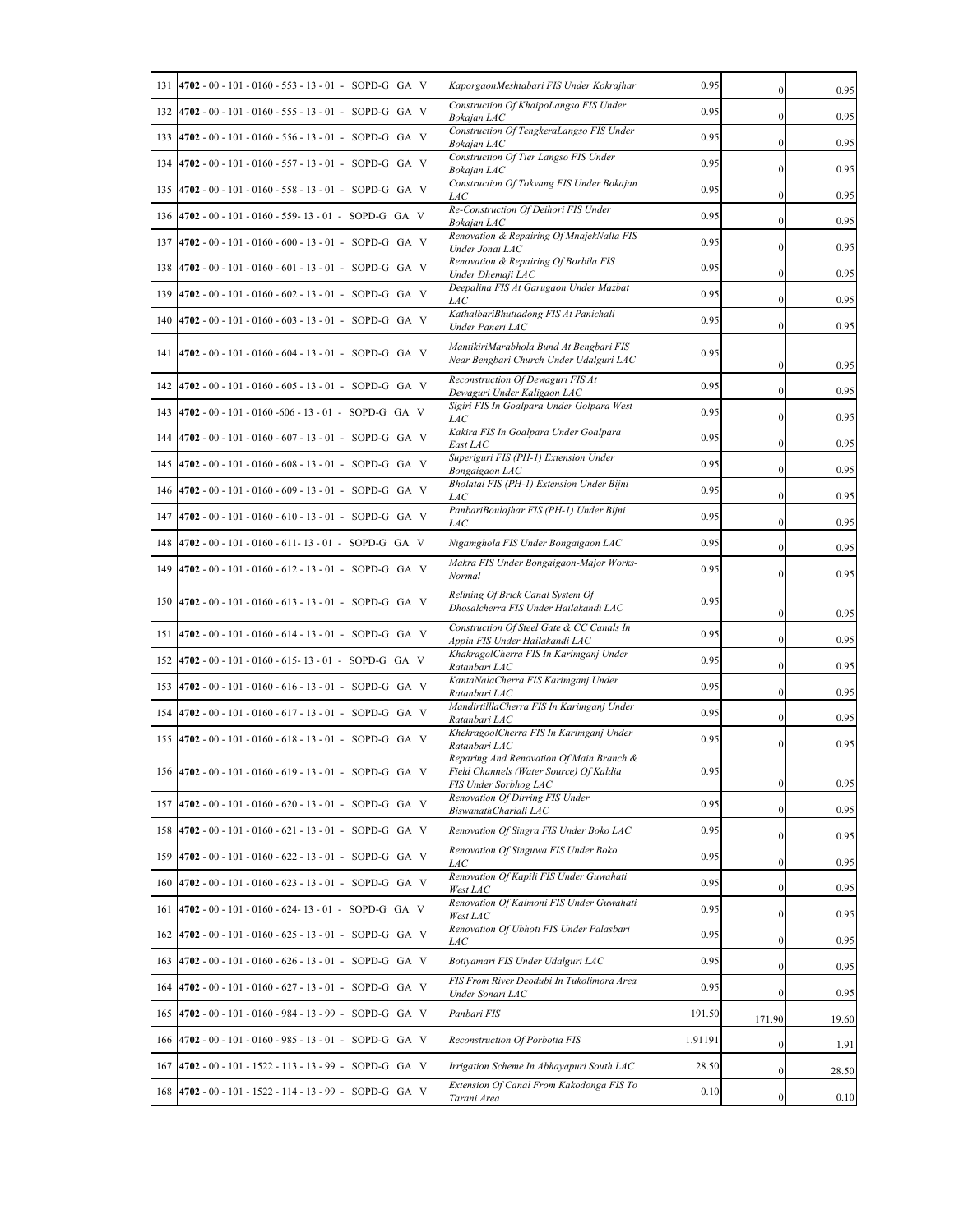| 131 | $4702 - 00 - 101 - 0160 - 553 - 13 - 01 - SOPD-G GA V$      | KaporgaonMeshtabari FIS Under Kokrajhar                                                                      | 0.95    | $\mathbf{0}$     | 0.95  |
|-----|-------------------------------------------------------------|--------------------------------------------------------------------------------------------------------------|---------|------------------|-------|
| 132 | $ 4702 - 00 - 101 - 0160 - 555 - 13 - 01 - SOPD-G GA V$     | Construction Of KhaipoLangso FIS Under<br>Bokajan LAC                                                        | 0.95    | $\mathbf{0}$     | 0.95  |
| 133 | $ 4702 - 00 - 101 - 0160 - 556 - 13 - 01 - SOPD-G GA V$     | Construction Of TengkeraLangso FIS Under<br>Bokajan LAC                                                      | 0.95    | $\mathbf{0}$     | 0.95  |
| 134 | $4702 - 00 - 101 - 0160 - 557 - 13 - 01 - SOPD-G GA V$      | Construction Of Tier Langso FIS Under<br><b>Bokaian LAC</b>                                                  | 0.95    | $\bf{0}$         | 0.95  |
| 135 | $4702 - 00 - 101 - 0160 - 558 - 13 - 01 - SOPD-G GA V$      | Construction Of Tokvang FIS Under Bokajan<br>LAC                                                             | 0.95    | $\boldsymbol{0}$ | 0.95  |
| 136 | 4702 - 00 - 101 - 0160 - 559- 13 - 01 - SOPD-G GA V         | Re-Construction Of Deihori FIS Under<br>Bokajan LAC                                                          | 0.95    | $\mathbf{0}$     | 0.95  |
| 137 | $4702 - 00 - 101 - 0160 - 600 - 13 - 01 - SOPD-G GA V$      | Renovation & Repairing Of MnajekNalla FIS<br>Under Jonai LAC                                                 | 0.95    | $\mathbf{0}$     | 0.95  |
| 138 | $4702 - 00 - 101 - 0160 - 601 - 13 - 01 - SOPD-G GA V$      | Renovation & Repairing Of Borbila FIS<br>Under Dhemaji LAC                                                   | 0.95    | $\mathbf{0}$     | 0.95  |
| 139 | 4702 - 00 - 101 - 0160 - 602 - 13 - 01 - SOPD-G GA V        | Deepalina FIS At Garugaon Under Mazbat<br>LAC                                                                | 0.95    | $\bf{0}$         | 0.95  |
| 140 | $4702 - 00 - 101 - 0160 - 603 - 13 - 01 - SOPD-G GA V$      | KathalbariBhutiadong FIS At Panichali<br>Under Paneri LAC                                                    | 0.95    | $\mathbf{0}$     | 0.95  |
|     | 141 4702 - 00 - 101 - 0160 - 604 - 13 - 01 - SOPD-G GA V    | MantikiriMarabhola Bund At Bengbari FIS<br>Near Bengbari Church Under Udalguri LAC                           | 0.95    | $\boldsymbol{0}$ | 0.95  |
| 142 | $4702 - 00 - 101 - 0160 - 605 - 13 - 01 - SOPD-G GA V$      | Reconstruction Of Dewaguri FIS At<br>Dewaguri Under Kaligaon LAC                                             | 0.95    | $\mathbf{0}$     | 0.95  |
| 143 | 4702 - 00 - 101 - 0160 - 606 - 13 - 01 - SOPD-G GA V        | Sigiri FIS In Goalpara Under Golpara West<br>LAC                                                             | 0.95    | $\mathbf{0}$     | 0.95  |
| 144 | 4702 - 00 - 101 - 0160 - 607 - 13 - 01 - SOPD-G GA V        | Kakira FIS In Goalpara Under Goalpara<br>East LAC                                                            | 0.95    | $\mathbf{0}$     | 0.95  |
| 145 | $4702 - 00 - 101 - 0160 - 608 - 13 - 01 - SOPD-G GA V$      | Superiguri FIS (PH-1) Extension Under<br>Bongaigaon LAC                                                      | 0.95    | $\bf{0}$         | 0.95  |
| 146 | 4702 - 00 - 101 - 0160 - 609 - 13 - 01 - SOPD-G GA V        | Bholatal FIS (PH-1) Extension Under Bijni<br><i>LAC</i>                                                      | 0.95    | $\bf{0}$         | 0.95  |
|     | 147 4702 - 00 - 101 - 0160 - 610 - 13 - 01 - SOPD-G GA V    | PanbariBoulajhar FIS (PH-1) Under Bijni<br>LAC                                                               | 0.95    | $\boldsymbol{0}$ | 0.95  |
| 148 | $4702 - 00 - 101 - 0160 - 611 - 13 - 01 - SOPD-G GA V$      | Nigamghola FIS Under Bongaigaon LAC                                                                          | 0.95    | $\mathbf{0}$     | 0.95  |
| 149 | $4702 - 00 - 101 - 0160 - 612 - 13 - 01 - SOPD-G GA V$      | Makra FIS Under Bongaigaon-Major Works-<br>Normal                                                            | 0.95    | $\mathbf{0}$     | 0.95  |
|     | $150$  4702 - 00 - 101 - 0160 - 613 - 13 - 01 - SOPD-G GA V | Relining Of Brick Canal System Of<br>Dhosalcherra FIS Under Hailakandi LAC                                   | 0.95    | $\bf{0}$         | 0.95  |
| 151 | $4702 - 00 - 101 - 0160 - 614 - 13 - 01 - SOPD-G GA V$      | Construction Of Steel Gate & CC Canals In<br>Appin FIS Under Hailakandi LAC                                  | 0.95    | $\mathbf{0}$     | 0.95  |
| 152 | $4702 - 00 - 101 - 0160 - 615 - 13 - 01 - SOPD-G GA V$      | KhakragolCherra FIS In Karimganj Under<br>Ratanbari LAC                                                      | 0.95    | $\bf{0}$         | 0.95  |
|     | 153 4702 - 00 - 101 - 0160 - 616 - 13 - 01 - SOPD-G GA V    | KantaNalaCherra FIS Karimganj Under<br>Ratanbari LAC                                                         | 0.95    | $\mathbf{0}$     | 0.95  |
| 154 | 4702 - 00 - 101 - 0160 - 617 - 13 - 01 - SOPD-G GA V        | MandirtilllaCherra FIS In Karimganj Under<br>Ratanbari LAC                                                   | 0.95    | $\mathbf{0}$     | 0.95  |
| 155 | $4702 - 00 - 101 - 0160 - 618 - 13 - 01 - SOPD-G GA V$      | KhekragoolCherra FIS In Karimganj Under<br>Ratanbari LAC                                                     | 0.95    | $\mathbf{0}$     | 0.95  |
|     | 156   4702 - 00 - 101 - 0160 - 619 - 13 - 01 - SOPD-G GA V  | Reparing And Renovation Of Main Branch &<br>Field Channels (Water Source) Of Kaldia<br>FIS Under Sorbhog LAC | 0.95    | $\boldsymbol{0}$ | 0.95  |
|     | 157 4702 - 00 - 101 - 0160 - 620 - 13 - 01 - SOPD-G GA V    | Renovation Of Dirring FIS Under<br>BiswanathChariali LAC                                                     | 0.95    | $\bf{0}$         | 0.95  |
| 158 | $4702 - 00 - 101 - 0160 - 621 - 13 - 01 - SOPD-G GA V$      | Renovation Of Singra FIS Under Boko LAC                                                                      | 0.95    | $\boldsymbol{0}$ | 0.95  |
| 159 | 4702 - 00 - 101 - 0160 - 622 - 13 - 01 - SOPD-G GA V        | Renovation Of Singuwa FIS Under Boko<br><i>LAC</i>                                                           | 0.95    | $\bf{0}$         | 0.95  |
| 160 | $4702 - 00 - 101 - 0160 - 623 - 13 - 01 - SOPD-G GA V$      | Renovation Of Kapili FIS Under Guwahati<br>West LAC                                                          | 0.95    | $\bf{0}$         | 0.95  |
|     | 161 4702 - 00 - 101 - 0160 - 624- 13 - 01 - SOPD-G GA V     | Renovation Of Kalmoni FIS Under Guwahati<br>West LAC                                                         | 0.95    | $\boldsymbol{0}$ | 0.95  |
| 162 | 4702 - 00 - 101 - 0160 - 625 - 13 - 01 - SOPD-G GA V        | Renovation Of Ubhoti FIS Under Palasbari<br>LAC                                                              | 0.95    | $\bf{0}$         | 0.95  |
| 163 | $4702 - 00 - 101 - 0160 - 626 - 13 - 01 - SOPD-G GA V$      | Botiyamari FIS Under Udalguri LAC                                                                            | 0.95    | $\boldsymbol{0}$ | 0.95  |
| 164 | $4702 - 00 - 101 - 0160 - 627 - 13 - 01 - SOPD-G GA V$      | FIS From River Deodubi In Tukolimora Area<br>Under Sonari LAC                                                | 0.95    | $\bf{0}$         | 0.95  |
| 165 | 4702 - 00 - 101 - 0160 - 984 - 13 - 99 - SOPD-G GA V        | Panbari FIS                                                                                                  | 191.50  | 171.90           | 19.60 |
|     | 166 4702 - 00 - 101 - 0160 - 985 - 13 - 01 - SOPD-G GA V    | Reconstruction Of Porbotia FIS                                                                               | 1.91191 | $\bf{0}$         | 1.91  |
| 167 | 4702 - 00 - 101 - 1522 - 113 - 13 - 99 - SOPD-G GA V        | Irrigation Scheme In Abhayapuri South LAC                                                                    | 28.50   | $\boldsymbol{0}$ | 28.50 |
|     | 168 4702 - 00 - 101 - 1522 - 114 - 13 - 99 - SOPD-G GA V    | Extension Of Canal From Kakodonga FIS To<br>Tarani Area                                                      | 0.10    | $\bf{0}$         | 0.10  |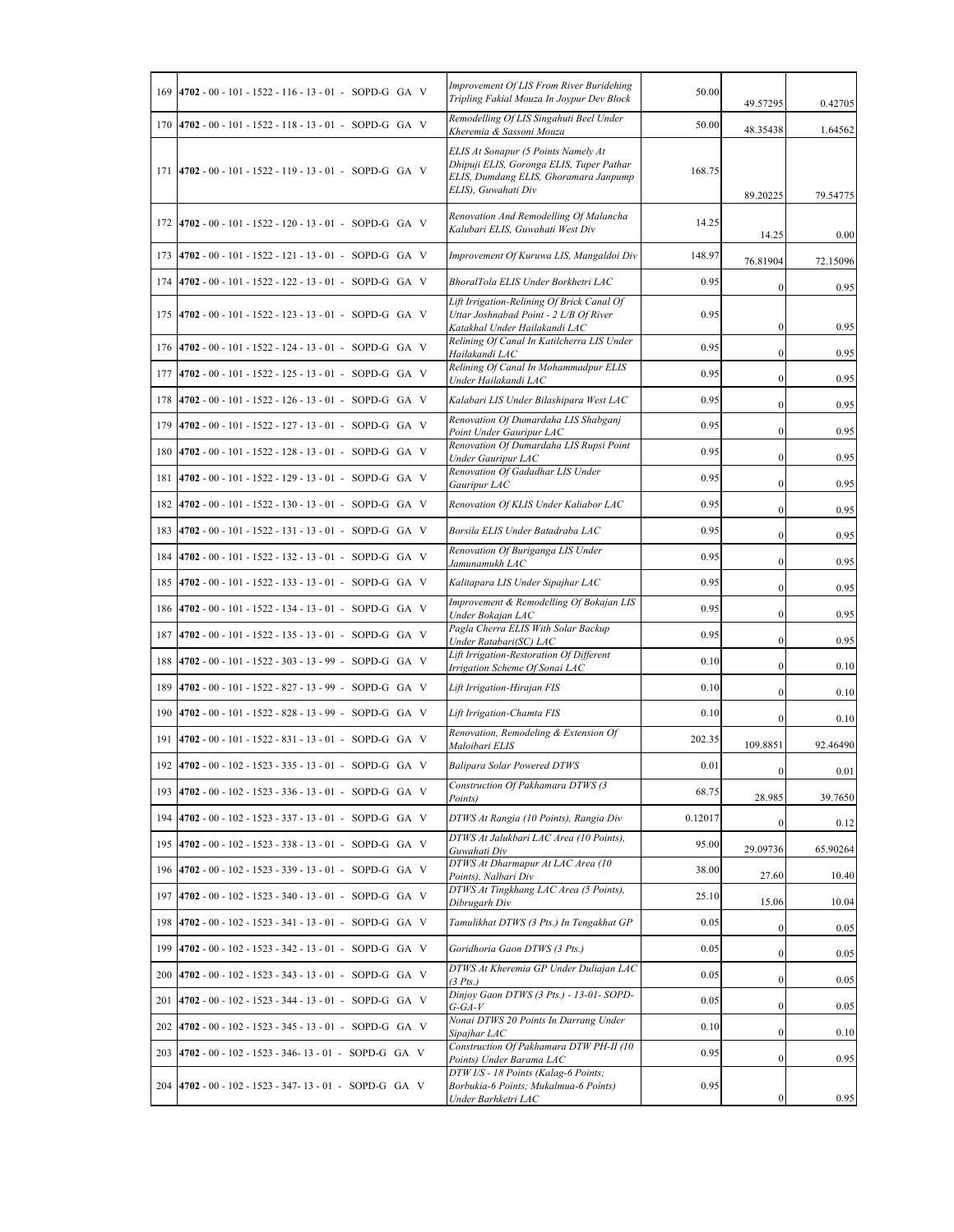|     | 169 4702 - 00 - 101 - 1522 - 116 - 13 - 01 - SOPD-G GA V | Improvement Of LIS From River Buridehing<br>Tripling Fakial Mouza In Joypur Dev Block                                                           | 50.00   | 49.57295         | 0.42705  |
|-----|----------------------------------------------------------|-------------------------------------------------------------------------------------------------------------------------------------------------|---------|------------------|----------|
|     | 170 4702 - 00 - 101 - 1522 - 118 - 13 - 01 - SOPD-G GA V | Remodelling Of LIS Singahuti Beel Under<br>Kheremia & Sassoni Mouza                                                                             | 50.00   | 48.35438         | 1.64562  |
|     | 171 4702 - 00 - 101 - 1522 - 119 - 13 - 01 - SOPD-G GA V | ELIS At Sonapur (5 Points Namely At<br>Dhipuji ELIS, Goronga ELIS, Tuper Pathar<br>ELIS, Dumdang ELIS, Ghoramara Janpump<br>ELIS), Guwahati Div | 168.75  | 89.20225         | 79.54775 |
|     | 172 4702 - 00 - 101 - 1522 - 120 - 13 - 01 - SOPD-G GA V | Renovation And Remodelling Of Malancha<br>Kalubari ELIS, Guwahati West Div                                                                      | 14.25   | 14.25            | 0.00     |
| 173 | $4702 - 00 - 101 - 1522 - 121 - 13 - 01 - SOPD-G GA V$   | Improvement Of Kuruwa LIS, Mangaldoi Div                                                                                                        | 148.97  | 76.81904         | 72.15096 |
| 174 | $4702 - 00 - 101 - 1522 - 122 - 13 - 01 - SOPD-G GA V$   | BhoralTola ELIS Under Borkhetri LAC                                                                                                             | 0.95    | $\mathbf{0}$     | 0.95     |
|     | 175 4702 - 00 - 101 - 1522 - 123 - 13 - 01 - SOPD-G GA V | Lift Irrigation-Relining Of Brick Canal Of<br>Uttar Joshnabad Point - 2 L/B Of River<br>Katakhal Under Hailakandi LAC                           | 0.95    | $\boldsymbol{0}$ | 0.95     |
| 176 | $4702 - 00 - 101 - 1522 - 124 - 13 - 01 - SOPD-G GA V$   | Relining Of Canal In Katilcherra LIS Under<br>Hailakandi LAC                                                                                    | 0.95    | $\mathbf{0}$     | 0.95     |
| 177 | 4702 - 00 - 101 - 1522 - 125 - 13 - 01 - SOPD-G GA V     | Relining Of Canal In Mohammadpur ELIS<br>Under Hailakandi LAC                                                                                   | 0.95    | $\bf{0}$         | 0.95     |
| 178 | $4702 - 00 - 101 - 1522 - 126 - 13 - 01 - SOPD-G GA V$   | Kalabari LIS Under Bilashipara West LAC                                                                                                         | 0.95    | $\bf{0}$         | 0.95     |
| 179 | 4702 - 00 - 101 - 1522 - 127 - 13 - 01 - SOPD-G GA V     | Renovation Of Dumardaha LIS Shabganj<br>Point Under Gauripur LAC                                                                                | 0.95    | $\boldsymbol{0}$ | 0.95     |
| 180 | 4702 - 00 - 101 - 1522 - 128 - 13 - 01 - SOPD-G GA V     | Renovation Of Dumardaha LIS Rupsi Point<br>Under Gauripur LAC                                                                                   | 0.95    | $\boldsymbol{0}$ | 0.95     |
| 181 | 4702 - 00 - 101 - 1522 - 129 - 13 - 01 - SOPD-G GA V     | Renovation Of Gadadhar LIS Under<br>Gauripur LAC                                                                                                | 0.95    | $\mathbf{0}$     | 0.95     |
| 182 | 4702 - 00 - 101 - 1522 - 130 - 13 - 01 - SOPD-G GA V     | Renovation Of KLIS Under Kaliabor LAC                                                                                                           | 0.95    | $\bf{0}$         | 0.95     |
| 183 | $4702 - 00 - 101 - 1522 - 131 - 13 - 01 - SOPD-G GA V$   | Borsila ELIS Under Batadraba LAC                                                                                                                | 0.95    | $\bf{0}$         | 0.95     |
| 184 | $4702 - 00 - 101 - 1522 - 132 - 13 - 01 - SOPD-G GA V$   | Renovation Of Buriganga LIS Under<br>Jamunamukh LAC                                                                                             | 0.95    | $\mathbf{0}$     | 0.95     |
| 185 | 4702 - 00 - 101 - 1522 - 133 - 13 - 01 - SOPD-G GA V     | Kalitapara LIS Under Sipajhar LAC                                                                                                               | 0.95    | $\boldsymbol{0}$ | 0.95     |
| 186 | $4702 - 00 - 101 - 1522 - 134 - 13 - 01 - SOPD-G GA V$   | Improvement & Remodelling Of Bokajan LIS<br>Under Bokajan LAC                                                                                   | 0.95    | $\mathbf{0}$     | 0.95     |
| 187 | $4702 - 00 - 101 - 1522 - 135 - 13 - 01 - SOPD-G GA V$   | Pagla Cherra ELIS With Solar Backup<br>Under Ratabari(SC) LAC                                                                                   | 0.95    | $\mathbf{0}$     | 0.95     |
| 188 | $4702 - 00 - 101 - 1522 - 303 - 13 - 99$ - SOPD-G GA V   | Lift Irrigation-Restoration Of Different<br>Irrigation Scheme Of Sonai LAC                                                                      | 0.10    | $\bf{0}$         | 0.10     |
| 189 | 4702 - 00 - 101 - 1522 - 827 - 13 - 99 - SOPD-G GA V     | Lift Irrigation-Hirajan FIS                                                                                                                     | 0.10    | $\mathbf{0}$     | 0.10     |
| 190 | 4702 - 00 - 101 - 1522 - 828 - 13 - 99 - SOPD-G GA V     | Lift Irrigation-Chamta FIS                                                                                                                      | 0.10    | $\boldsymbol{0}$ | 0.10     |
| 191 | 4702 - 00 - 101 - 1522 - 831 - 13 - 01 - SOPD-G GA V     | Renovation, Remodeling & Extension Of<br>Maloibari ELIS                                                                                         | 202.35  | 109.8851         | 92.46490 |
|     | 192 4702 - 00 - 102 - 1523 - 335 - 13 - 01 - SOPD-G GA V | <b>Balipara Solar Powered DTWS</b>                                                                                                              | 0.01    | $\bf{0}$         | 0.01     |
|     | 193 4702 - 00 - 102 - 1523 - 336 - 13 - 01 - SOPD-G GA V | Construction Of Pakhamara DTWS (3<br>Points)                                                                                                    | 68.75   | 28.985           | 39.7650  |
|     | 194 4702 - 00 - 102 - 1523 - 337 - 13 - 01 - SOPD-G GA V | DTWS At Rangia (10 Points), Rangia Div                                                                                                          | 0.12017 | $\bf{0}$         | 0.12     |
|     | 195 4702 - 00 - 102 - 1523 - 338 - 13 - 01 - SOPD-G GA V | DTWS At Jalukbari LAC Area (10 Points),<br>Guwahati Div                                                                                         | 95.00   | 29.09736         | 65.90264 |
|     | 196 4702 - 00 - 102 - 1523 - 339 - 13 - 01 - SOPD-G GA V | DTWS At Dharmapur At LAC Area (10<br>Points), Nalbari Div                                                                                       | 38.00   | 27.60            | 10.40    |
| 197 | $4702 - 00 - 102 - 1523 - 340 - 13 - 01 - SOPD-G GA V$   | DTWS At Tingkhang LAC Area (5 Points),<br>Dibrugarh Div                                                                                         | 25.10   | 15.06            | 10.04    |
|     | 198 4702 - 00 - 102 - 1523 - 341 - 13 - 01 - SOPD-G GA V | Tamulikhat DTWS (3 Pts.) In Tengakhat GP                                                                                                        | 0.05    | $\boldsymbol{0}$ | 0.05     |
|     | 199 4702 - 00 - 102 - 1523 - 342 - 13 - 01 - SOPD-G GA V | Goridhoria Gaon DTWS (3 Pts.)                                                                                                                   | 0.05    | $\bf{0}$         | 0.05     |
|     | 200 4702 - 00 - 102 - 1523 - 343 - 13 - 01 - SOPD-G GA V | DTWS At Kheremia GP Under Duliajan LAC<br>$(3 \; P$ ts.)                                                                                        | 0.05    | $\boldsymbol{0}$ | 0.05     |
| 201 | $ 4702 - 00 - 102 - 1523 - 344 - 13 - 01 - SOPD-G GA V$  | Dinjoy Gaon DTWS (3 Pts.) - 13-01- SOPD-<br>$G$ -GA- $V$                                                                                        | 0.05    | $\bf{0}$         | 0.05     |
|     | 202 4702 - 00 - 102 - 1523 - 345 - 13 - 01 - SOPD-G GA V | Nonai DTWS 20 Points In Darrang Under<br>Sipajhar LAC                                                                                           | 0.10    | $\bf{0}$         | 0.10     |
|     | 203 4702 - 00 - 102 - 1523 - 346- 13 - 01 - SOPD-G GA V  | Construction Of Pakhamara DTW PH-II (10<br>Points) Under Barama LAC                                                                             | 0.95    | $\bf{0}$         | 0.95     |
|     | 204 4702 - 00 - 102 - 1523 - 347- 13 - 01 - SOPD-G GA V  | DTW I/S - 18 Points (Kalag-6 Points;<br>Borbukia-6 Points; Mukalmua-6 Points)<br>Under Barhketri LAC                                            | 0.95    | 0                | 0.95     |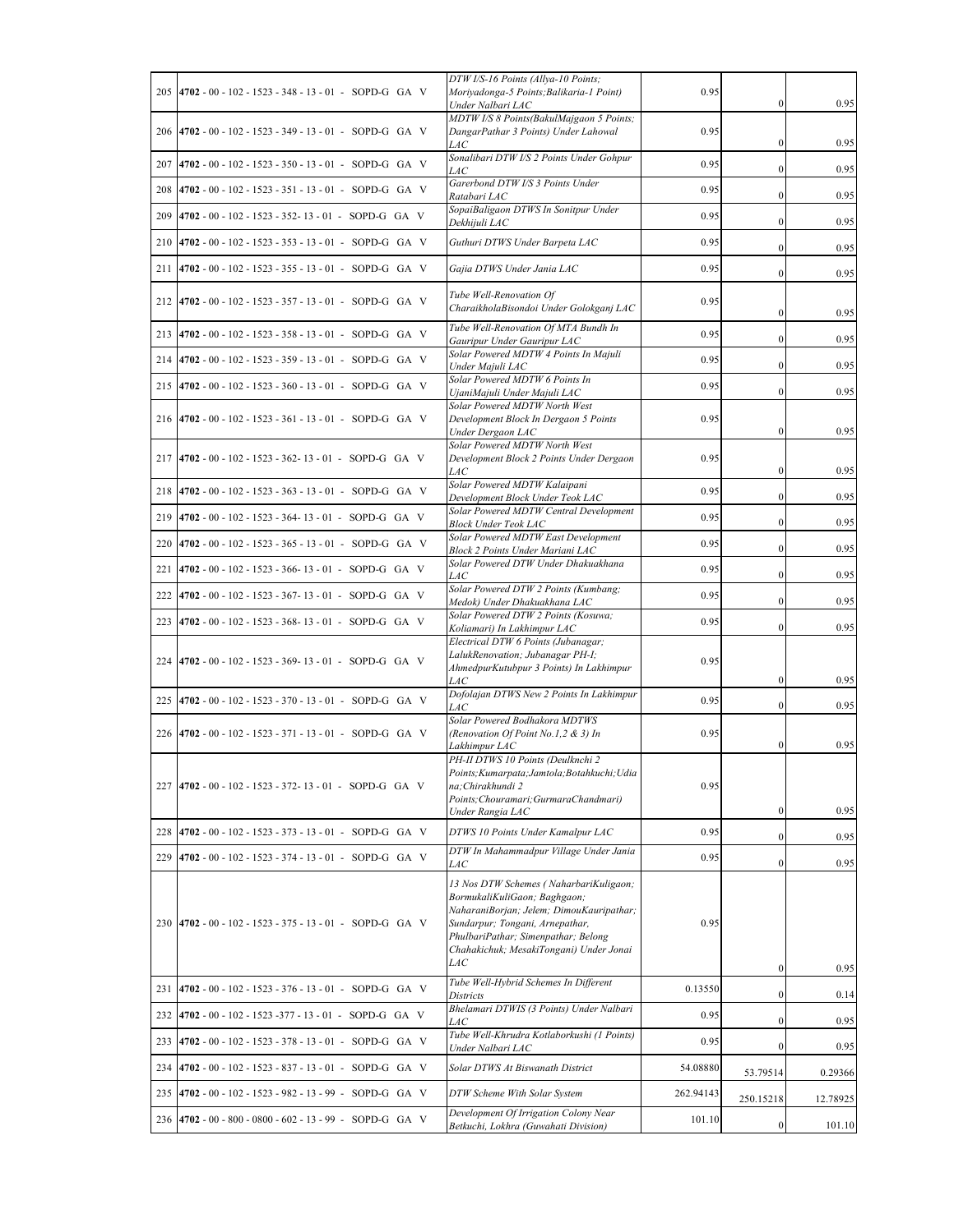|     | 205 4702 - 00 - 102 - 1523 - 348 - 13 - 01 - SOPD-G GA V | DTW I/S-16 Points (Allya-10 Points;<br>Moriyadonga-5 Points; Balikaria-1 Point)                                                                                                                                                                | 0.95      |                  |          |
|-----|----------------------------------------------------------|------------------------------------------------------------------------------------------------------------------------------------------------------------------------------------------------------------------------------------------------|-----------|------------------|----------|
|     |                                                          | Under Nalbari LAC<br>MDTW I/S 8 Points(BakulMajgaon 5 Points;                                                                                                                                                                                  |           | $\bf{0}$         | 0.95     |
|     | 206 4702 - 00 - 102 - 1523 - 349 - 13 - 01 - SOPD-G GA V | DangarPathar 3 Points) Under Lahowal<br><i>LAC</i>                                                                                                                                                                                             | 0.95      | $\bf{0}$         | 0.95     |
| 207 | $4702 - 00 - 102 - 1523 - 350 - 13 - 01 - SOPD-G GA V$   | Sonalibari DTW I/S 2 Points Under Gohpur<br>LAC                                                                                                                                                                                                | 0.95      | $\mathbf{0}$     | 0.95     |
|     | 208 4702 - 00 - 102 - 1523 - 351 - 13 - 01 - SOPD-G GA V | Garerbond DTW I/S 3 Points Under<br>Ratabari LAC                                                                                                                                                                                               | 0.95      | $\mathbf{0}$     | 0.95     |
| 209 | 4702 - 00 - 102 - 1523 - 352-13 - 01 - SOPD-G GA V       | SopaiBaligaon DTWS In Sonitpur Under<br>Dekhijuli LAC                                                                                                                                                                                          | 0.95      | $\mathbf{0}$     | 0.95     |
| 210 | $4702 - 00 - 102 - 1523 - 353 - 13 - 01 - SOPD-G GA V$   | Guthuri DTWS Under Barpeta LAC                                                                                                                                                                                                                 | 0.95      | $\mathbf{0}$     | 0.95     |
| 211 | $4702 - 00 - 102 - 1523 - 355 - 13 - 01 - SOPD-G GA V$   | Gajia DTWS Under Jania LAC                                                                                                                                                                                                                     | 0.95      | $\bf{0}$         | 0.95     |
|     | 212 4702 - 00 - 102 - 1523 - 357 - 13 - 01 - SOPD-G GA V | Tube Well-Renovation Of<br>CharaikholaBisondoi Under Golokganj LAC                                                                                                                                                                             | 0.95      | $\mathbf{0}$     | 0.95     |
|     | 213 4702 - 00 - 102 - 1523 - 358 - 13 - 01 - SOPD-G GA V | Tube Well-Renovation Of MTA Bundh In<br>Gauripur Under Gauripur LAC                                                                                                                                                                            | 0.95      | $\bf{0}$         | 0.95     |
|     | 214 4702 - 00 - 102 - 1523 - 359 - 13 - 01 - SOPD-G GA V | Solar Powered MDTW 4 Points In Majuli<br>Under Majuli LAC                                                                                                                                                                                      | 0.95      | $\mathbf{0}$     | 0.95     |
|     | 215 4702 - 00 - 102 - 1523 - 360 - 13 - 01 - SOPD-G GA V | Solar Powered MDTW 6 Points In<br>UjaniMajuli Under Majuli LAC                                                                                                                                                                                 | 0.95      | $\mathbf{0}$     | 0.95     |
|     | 216 4702 - 00 - 102 - 1523 - 361 - 13 - 01 - SOPD-G GA V | Solar Powered MDTW North West<br>Development Block In Dergaon 5 Points                                                                                                                                                                         | 0.95      |                  |          |
|     |                                                          | Under Dergaon LAC<br>Solar Powered MDTW North West                                                                                                                                                                                             |           | $\mathbf{0}$     | 0.95     |
|     | 217 4702 - 00 - 102 - 1523 - 362- 13 - 01 - SOPD-G GA V  | Development Block 2 Points Under Dergaon<br><i>LAC</i>                                                                                                                                                                                         | 0.95      | $\mathbf{0}$     | 0.95     |
|     | 218 4702 - 00 - 102 - 1523 - 363 - 13 - 01 - SOPD-G GA V | Solar Powered MDTW Kalaipani<br>Development Block Under Teok LAC                                                                                                                                                                               | 0.95      | $\mathbf{0}$     | 0.95     |
| 219 | 4702 - 00 - 102 - 1523 - 364- 13 - 01 - SOPD-G GA V      | Solar Powered MDTW Central Development<br>Block Under Teok LAC                                                                                                                                                                                 | 0.95      | $\mathbf{0}$     | 0.95     |
| 220 | 4702 - 00 - 102 - 1523 - 365 - 13 - 01 - SOPD-G GA V     | Solar Powered MDTW East Development<br>Block 2 Points Under Mariani LAC                                                                                                                                                                        | 0.95      | $\mathbf{0}$     | 0.95     |
| 221 | 4702 - 00 - 102 - 1523 - 366- 13 - 01 - SOPD-G GA V      | Solar Powered DTW Under Dhakuakhana<br><i>LAC</i>                                                                                                                                                                                              | 0.95      | $\bf{0}$         | 0.95     |
| 222 | 4702 - 00 - 102 - 1523 - 367- 13 - 01 - SOPD-G GA V      | Solar Powered DTW 2 Points (Kumbang;<br>Medok) Under Dhakuakhana LAC                                                                                                                                                                           | 0.95      | $\mathbf{0}$     | 0.95     |
|     | 223 4702 - 00 - 102 - 1523 - 368- 13 - 01 - SOPD-G GA V  | Solar Powered DTW 2 Points (Kosuwa;<br>Koliamari) In Lakhimpur LAC                                                                                                                                                                             | 0.95      | $\mathbf{0}$     | 0.95     |
|     |                                                          | Electrical DTW 6 Points (Jubanagar;<br>LalukRenovation; Jubanagar PH-I;                                                                                                                                                                        |           |                  |          |
|     | 224 4702 - 00 - 102 - 1523 - 369- 13 - 01 - SOPD-G GA V  | AhmedpurKutubpur 3 Points) In Lakhimpur                                                                                                                                                                                                        | 0.95      |                  |          |
|     | 225 4702 - 00 - 102 - 1523 - 370 - 13 - 01 - SOPD-G GA V | LAC<br>Dofolajan DTWS New 2 Points In Lakhimpur                                                                                                                                                                                                | 0.95      | $\bf{0}$         | 0.95     |
|     |                                                          | LAC<br>Solar Powered Bodhakora MDTWS                                                                                                                                                                                                           |           | $\mathbf{0}$     | 0.95     |
|     | 226 4702 - 00 - 102 - 1523 - 371 - 13 - 01 - SOPD-G GA V | (Renovation Of Point No.1,2 & 3) In<br>Lakhimpur LAC                                                                                                                                                                                           | 0.95      | $\bf{0}$         | 0.95     |
|     |                                                          | PH-II DTWS 10 Points (Deulknchi 2<br>Points; Kumarpata; Jamtola; Botahkuchi; Udia                                                                                                                                                              |           |                  |          |
|     | 227 4702 - 00 - 102 - 1523 - 372- 13 - 01 - SOPD-G GA V  | na; Chirakhundi 2<br>Points; Chouramari; GurmaraChandmari)                                                                                                                                                                                     | 0.95      |                  |          |
|     |                                                          | Under Rangia LAC                                                                                                                                                                                                                               |           | $\bf{0}$         | 0.95     |
| 228 | 4702 - 00 - 102 - 1523 - 373 - 13 - 01 - SOPD-G GA V     | DTWS 10 Points Under Kamalpur LAC                                                                                                                                                                                                              | 0.95      | $\mathbf{0}$     | 0.95     |
| 229 | $4702 - 00 - 102 - 1523 - 374 - 13 - 01 - SOPD-G GA V$   | DTW In Mahammadpur Village Under Jania<br><i>LAC</i>                                                                                                                                                                                           | 0.95      | $\mathbf{0}$     | 0.95     |
|     | 230 4702 - 00 - 102 - 1523 - 375 - 13 - 01 - SOPD-G GA V | 13 Nos DTW Schemes (NaharbariKuligaon;<br>BormukaliKuliGaon; Baghgaon;<br>NaharaniBorjan; Jelem; DimouKauripathar;<br>Sundarpur; Tongani, Arnepathar,<br>PhulbariPathar; Simenpathar; Belong<br>Chahakichuk; MesakiTongani) Under Jonai<br>LAC | 0.95      | $\mathbf{0}$     | 0.95     |
| 231 | 4702 - 00 - 102 - 1523 - 376 - 13 - 01 - SOPD-G GA V     | Tube Well-Hybrid Schemes In Different<br>Districts                                                                                                                                                                                             | 0.13550   | $\boldsymbol{0}$ | 0.14     |
| 232 | $4702 - 00 - 102 - 1523 - 377 - 13 - 01$ - SOPD-G GA V   | Bhelamari DTWIS (3 Points) Under Nalbari<br>LAC                                                                                                                                                                                                | 0.95      | $\bf{0}$         | 0.95     |
| 233 | 4702 - 00 - 102 - 1523 - 378 - 13 - 01 - SOPD-G GA V     | Tube Well-Khrudra Kotlaborkushi (1 Points)<br>Under Nalbari LAC                                                                                                                                                                                | 0.95      | $\mathbf{0}$     | 0.95     |
|     | 234 4702 - 00 - 102 - 1523 - 837 - 13 - 01 - SOPD-G GA V | Solar DTWS At Biswanath District                                                                                                                                                                                                               | 54.08880  | 53.79514         | 0.29366  |
| 235 | 4702 - 00 - 102 - 1523 - 982 - 13 - 99 - SOPD-G GA V     | DTW Scheme With Solar System                                                                                                                                                                                                                   | 262.94143 | 250.15218        | 12.78925 |
|     | 236 4702 - 00 - 800 - 0800 - 602 - 13 - 99 - SOPD-G GA V | Development Of Irrigation Colony Near<br>Betkuchi, Lokhra (Guwahati Division)                                                                                                                                                                  | 101.10    | $\boldsymbol{0}$ | 101.10   |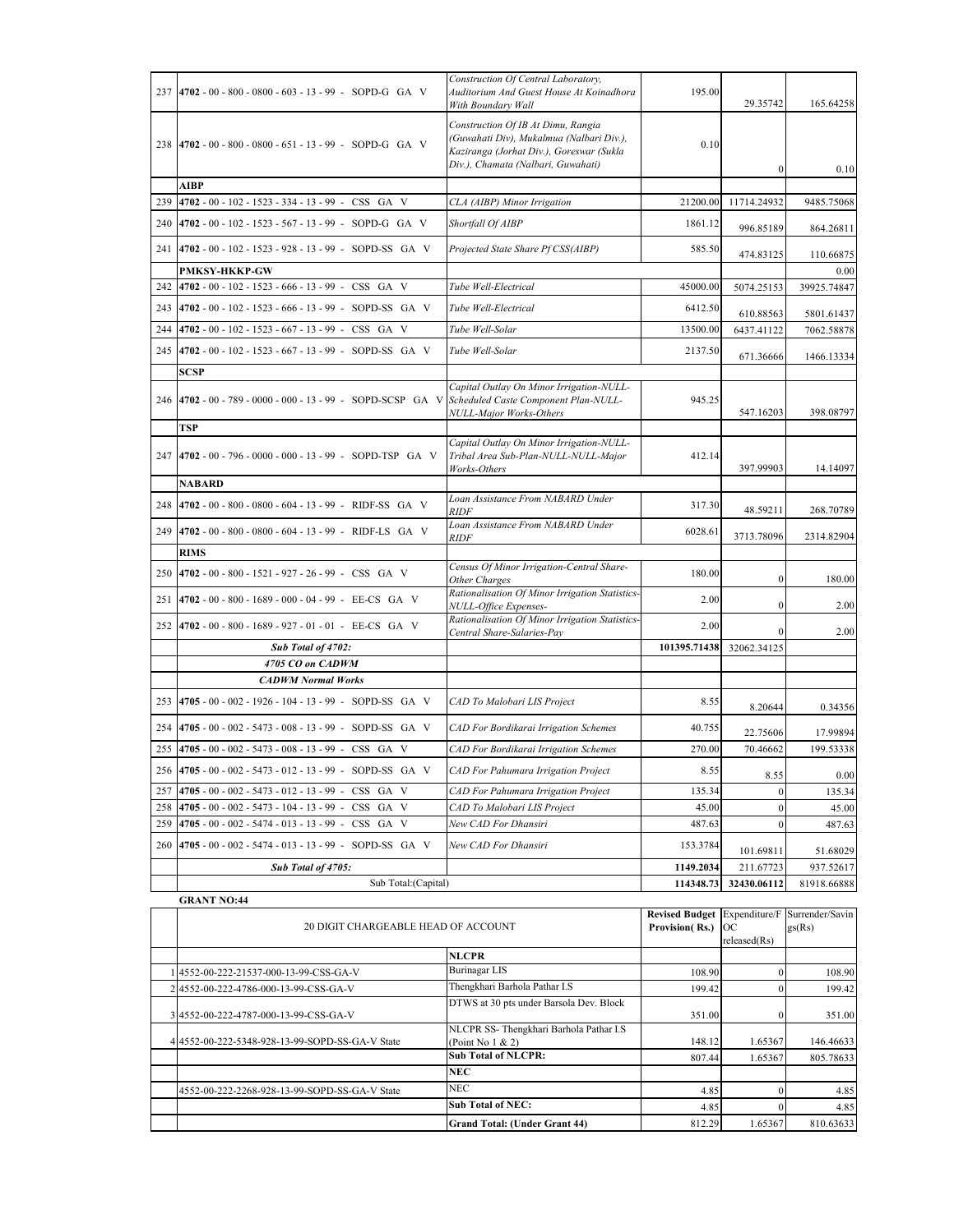|     | 237 4702 - 00 - 800 - 0800 - 603 - 13 - 99 - SOPD-G GA V                                         | Construction Of Central Laboratory,<br>Auditorium And Guest House At Koinadhora<br>With Boundary Wall                                                            | 195.00       | 29.35742         | 165.64258   |
|-----|--------------------------------------------------------------------------------------------------|------------------------------------------------------------------------------------------------------------------------------------------------------------------|--------------|------------------|-------------|
|     | 238 4702 - 00 - 800 - 0800 - 651 - 13 - 99 - SOPD-G GA V                                         | Construction Of IB At Dimu, Rangia<br>(Guwahati Div), Mukalmua (Nalbari Div.),<br>Kaziranga (Jorhat Div.), Goreswar (Sukla<br>Div.), Chamata (Nalbari, Guwahati) | 0.10         | $\mathbf{0}$     | 0.10        |
|     | AIBP                                                                                             |                                                                                                                                                                  |              |                  |             |
| 239 | 4702 - 00 - 102 - 1523 - 334 - 13 - 99 - CSS GA V                                                | CLA (AIBP) Minor Irrigation                                                                                                                                      | 21200.00     | 11714.24932      | 9485.75068  |
| 240 | 4702 - 00 - 102 - 1523 - 567 - 13 - 99 - SOPD-G GA V                                             | Shortfall Of AIBP                                                                                                                                                | 1861.12      | 996.85189        | 864.26811   |
| 241 | 4702 - 00 - 102 - 1523 - 928 - 13 - 99 - SOPD-SS GA V                                            | Projected State Share Pf CSS(AIBP)                                                                                                                               | 585.50       | 474.83125        | 110.66875   |
|     | <b>PMKSY-HKKP-GW</b>                                                                             |                                                                                                                                                                  |              |                  | 0.00        |
| 242 | 4702 - 00 - 102 - 1523 - 666 - 13 - 99 - CSS GA V                                                | Tube Well-Electrical                                                                                                                                             | 45000.00     | 5074.25153       | 39925.74847 |
| 243 | 4702 - 00 - 102 - 1523 - 666 - 13 - 99 - SOPD-SS GA V                                            | Tube Well-Electrical                                                                                                                                             | 6412.50      | 610.88563        | 5801.61437  |
| 244 | 4702 - 00 - 102 - 1523 - 667 - 13 - 99 - CSS GA V                                                | Tube Well-Solar                                                                                                                                                  | 13500.00     | 6437.41122       | 7062.58878  |
|     | 245 4702 - 00 - 102 - 1523 - 667 - 13 - 99 - SOPD-SS GA V                                        | Tube Well-Solar                                                                                                                                                  | 2137.50      | 671.36666        | 1466.13334  |
|     | SCSP                                                                                             |                                                                                                                                                                  |              |                  |             |
|     | 246 4702 - 00 - 789 - 0000 - 000 - 13 - 99 - SOPD-SCSP GA V Scheduled Caste Component Plan-NULL- | Capital Outlay On Minor Irrigation-NULL-<br>NULL-Major Works-Others                                                                                              | 945.25       | 547.16203        | 398.08797   |
|     | <b>TSP</b>                                                                                       |                                                                                                                                                                  |              |                  |             |
|     | 247 4702 - 00 - 796 - 0000 - 000 - 13 - 99 - SOPD-TSP GA V                                       | Capital Outlay On Minor Irrigation-NULL-<br>Tribal Area Sub-Plan-NULL-NULL-Major<br>Works-Others                                                                 | 412.14       | 397.99903        | 14.14097    |
|     | <b>NABARD</b>                                                                                    |                                                                                                                                                                  |              |                  |             |
| 248 | 4702 - 00 - 800 - 0800 - 604 - 13 - 99 - RIDF-SS GA V                                            | Loan Assistance From NABARD Under<br><i>RIDF</i>                                                                                                                 | 317.30       | 48.59211         | 268.70789   |
| 249 | 4702 - 00 - 800 - 0800 - 604 - 13 - 99 - RIDF-LS GA V                                            | Loan Assistance From NABARD Under<br><i>RIDF</i>                                                                                                                 | 6028.61      | 3713.78096       | 2314.82904  |
|     | <b>RIMS</b>                                                                                      |                                                                                                                                                                  |              |                  |             |
|     | 250 4702 - 00 - 800 - 1521 - 927 - 26 - 99 - CSS GA V                                            | Census Of Minor Irrigation-Central Share-<br>Other Charges                                                                                                       | 180.00       | $\boldsymbol{0}$ | 180.00      |
|     | 251 4702 - 00 - 800 - 1689 - 000 - 04 - 99 - EE-CS GA V                                          | Rationalisation Of Minor Irrigation Statistics-<br>NULL-Office Expenses-                                                                                         | 2.00         | $\boldsymbol{0}$ | 2.00        |
| 252 | 4702 - 00 - 800 - 1689 - 927 - 01 - 01 - EE-CS GA V                                              | Rationalisation Of Minor Irrigation Statistics-<br>Central Share-Salaries-Pay                                                                                    | 2.00         | $\mathbf{0}$     | 2.00        |
|     | Sub Total of 4702:                                                                               |                                                                                                                                                                  | 101395.71438 | 32062.34125      |             |
|     | 4705 CO on CADWM                                                                                 |                                                                                                                                                                  |              |                  |             |
|     | <b>CADWM Normal Works</b>                                                                        |                                                                                                                                                                  |              |                  |             |
| 253 | 4705 - 00 - 002 - 1926 - 104 - 13 - 99 - SOPD-SS GA V                                            | CAD To Malobari LIS Project                                                                                                                                      | 8.55         | 8.20644          | 0.34356     |
| 254 | 4705 - 00 - 002 - 5473 - 008 - 13 - 99 - SOPD-SS GA V                                            | CAD For Bordikarai Irrigation Schemes                                                                                                                            | 40.755       | 22.75606         | 17.99894    |
| 255 | 4705 - 00 - 002 - 5473 - 008 - 13 - 99 - CSS GA V                                                | CAD For Bordikarai Irrigation Schemes                                                                                                                            | 270.00       | 70.46662         | 199.53338   |
| 256 | 4705 - 00 - 002 - 5473 - 012 - 13 - 99 - SOPD-SS GA V                                            | CAD For Pahumara Irrigation Project                                                                                                                              | 8.55         | 8.55             | 0.00        |
|     | 257 4705 - 00 - 002 - 5473 - 012 - 13 - 99 - CSS GA V                                            | <b>CAD For Pahumara Irrigation Project</b>                                                                                                                       | 135.34       | $\boldsymbol{0}$ | 135.34      |
| 258 | 4705 - 00 - 002 - 5473 - 104 - 13 - 99 - CSS GA V                                                | CAD To Malobari LIS Project                                                                                                                                      | 45.00        | $\boldsymbol{0}$ | 45.00       |
| 259 | 4705 - 00 - 002 - 5474 - 013 - 13 - 99 - CSS GA V                                                | New CAD For Dhansiri                                                                                                                                             | 487.63       | $\mathbf{0}$     | 487.63      |
| 260 | 4705 - 00 - 002 - 5474 - 013 - 13 - 99 - SOPD-SS GA V                                            | New CAD For Dhansiri                                                                                                                                             | 153.3784     | 101.69811        | 51.68029    |
|     | Sub Total of 4705:                                                                               |                                                                                                                                                                  | 1149.2034    | 211.67723        | 937.52617   |
|     | Sub Total: (Capital)<br><b>GRANT NO:44</b>                                                       |                                                                                                                                                                  | 114348.73    | 32430.06112      | 81918.66888 |

|                                                 | 20 DIGIT CHARGEABLE HEAD OF ACCOUNT<br>Provision(Rs.)         |        | <b>OC</b>    | Revised Budget Expenditure/F Surrender/Savin<br>gs(Rs) |
|-------------------------------------------------|---------------------------------------------------------------|--------|--------------|--------------------------------------------------------|
|                                                 |                                                               |        | released(Rs) |                                                        |
|                                                 | <b>NLCPR</b>                                                  |        |              |                                                        |
| 14552-00-222-21537-000-13-99-CSS-GA-V           | <b>Burinagar LIS</b>                                          | 108.90 | $\Omega$     | 108.90                                                 |
| 24552-00-222-4786-000-13-99-CSS-GA-V            | Thengkhari Barhola Pathar I.S                                 | 199.42 |              | 199.42                                                 |
| 3 4552-00-222-4787-000-13-99-CSS-GA-V           | DTWS at 30 pts under Barsola Dev. Block                       | 351.00 | $\Omega$     | 351.00                                                 |
| 4 4552-00-222-5348-928-13-99-SOPD-SS-GA-V State | NLCPR SS-Thengkhari Barhola Pathar I.S<br>(Point No $1 & 2$ ) | 148.12 | 1.65367      | 146.46633                                              |
|                                                 | <b>Sub Total of NLCPR:</b>                                    | 807.44 | 1.65367      | 805.78633                                              |
|                                                 | <b>NEC</b>                                                    |        |              |                                                        |
| 4552-00-222-2268-928-13-99-SOPD-SS-GA-V State   | <b>NEC</b>                                                    | 4.85   | $\Omega$     | 4.85                                                   |
|                                                 | <b>Sub Total of NEC:</b>                                      | 4.85   | $\Omega$     | 4.85                                                   |
|                                                 | <b>Grand Total: (Under Grant 44)</b>                          | 812.29 | 1.65367      | 810.63633                                              |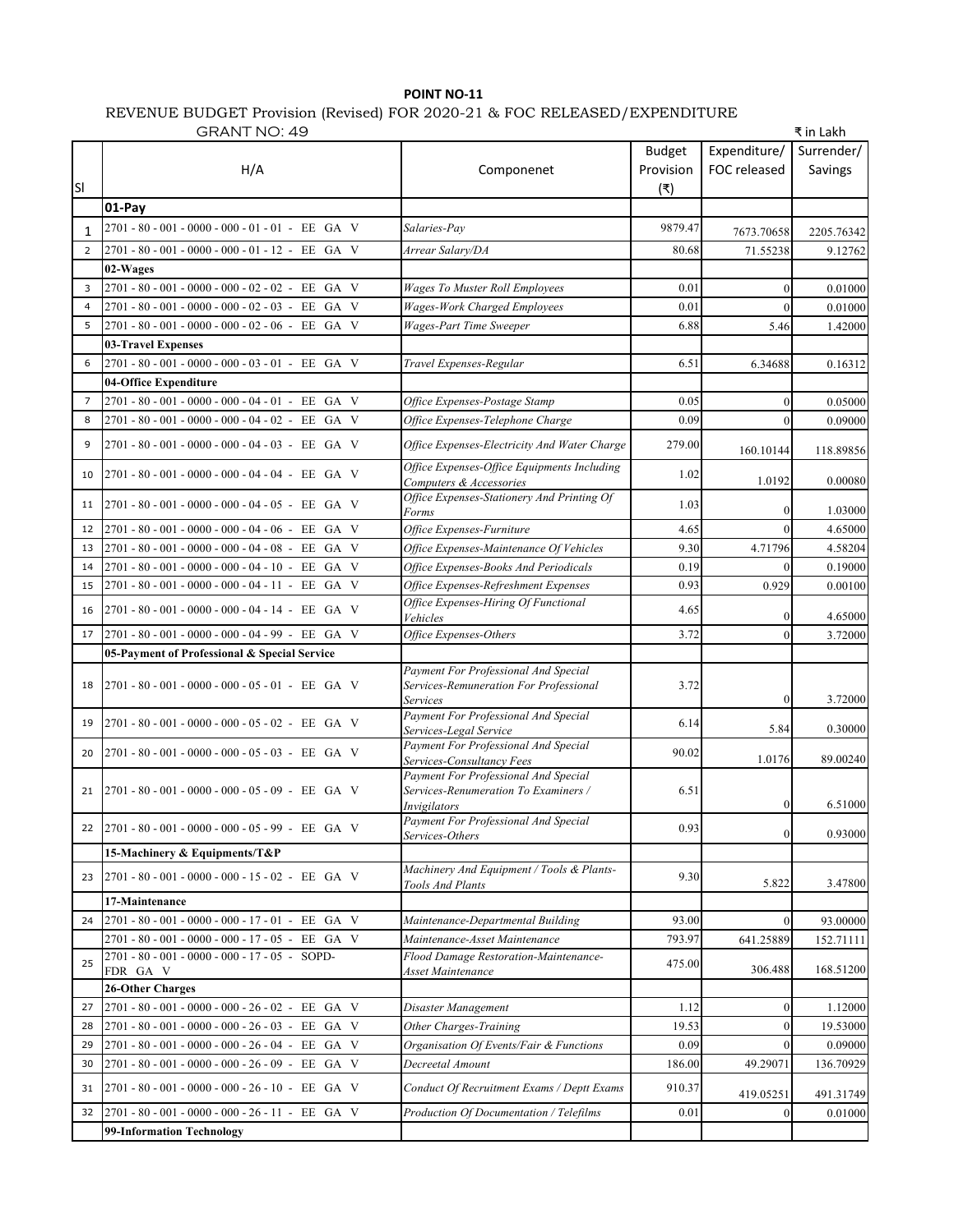## **POINT NO-11** REVENUE BUDGET Provision (Revised) FOR 2020-21 & FOC RELEASED/EXPENDITURE

| <b>GRANT NO: 49</b> |                                                       |                                                                                              |                                   |                              | ₹ in Lakh             |
|---------------------|-------------------------------------------------------|----------------------------------------------------------------------------------------------|-----------------------------------|------------------------------|-----------------------|
| <b>SI</b>           | H/A                                                   | Componenet                                                                                   | <b>Budget</b><br>Provision<br>(₹) | Expenditure/<br>FOC released | Surrender/<br>Savings |
|                     | 01-Pay                                                |                                                                                              |                                   |                              |                       |
| 1                   | 2701 - 80 - 001 - 0000 - 000 - 01 - 01 - EE GA V      | Salaries-Pay                                                                                 | 9879.47                           | 7673.70658                   | 2205.76342            |
| 2                   | 2701 - 80 - 001 - 0000 - 000 - 01 - 12 - EE GA V      | Arrear Salary/DA                                                                             | 80.68                             | 71.55238                     | 9.12762               |
|                     | 02-Wages                                              |                                                                                              |                                   |                              |                       |
| 3                   | 2701 - 80 - 001 - 0000 - 000 - 02 - 02 - EE GA V      | Wages To Muster Roll Employees                                                               | 0.01                              | $\Omega$                     | 0.01000               |
| $\overline{4}$      | $2701 - 80 - 001 - 0000 - 000 - 02 - 03 - EE$<br>GA V | <b>Wages-Work Charged Employees</b>                                                          | 0.01                              | $\Omega$                     | 0.01000               |
| 5                   | 2701 - 80 - 001 - 0000 - 000 - 02 - 06 - EE GA V      | Wages-Part Time Sweeper                                                                      | 6.88                              | 5.46                         | 1.42000               |
|                     | 03-Travel Expenses                                    |                                                                                              |                                   |                              |                       |
| 6                   | 2701 - 80 - 001 - 0000 - 000 - 03 - 01 - EE GA V      | Travel Expenses-Regular                                                                      | 6.51                              | 6.34688                      | 0.16312               |
|                     | 04-Office Expenditure                                 |                                                                                              |                                   |                              |                       |
| 7                   | 2701 - 80 - 001 - 0000 - 000 - 04 - 01 - EE GA V      | Office Expenses-Postage Stamp                                                                | 0.05                              |                              | 0.05000               |
| 8                   | 2701 - 80 - 001 - 0000 - 000 - 04 - 02 - EE GA V      | Office Expenses-Telephone Charge                                                             | 0.09                              | $\Omega$                     | 0.09000               |
| 9                   | 2701 - 80 - 001 - 0000 - 000 - 04 - 03 - EE GA V      | Office Expenses-Electricity And Water Charge                                                 | 279.00                            | 160.10144                    | 118.89856             |
| 10                  | 2701 - 80 - 001 - 0000 - 000 - 04 - 04 - EE GA V      | Office Expenses-Office Equipments Including<br>Computers & Accessories                       | 1.02                              | 1.0192                       | 0.00080               |
| 11                  | 2701 - 80 - 001 - 0000 - 000 - 04 - 05 - EE GA V      | Office Expenses-Stationery And Printing Of<br>Forms                                          | 1.03                              | $\Omega$                     | 1.03000               |
| 12                  | 2701 - 80 - 001 - 0000 - 000 - 04 - 06 - EE GA V      | Office Expenses-Furniture                                                                    | 4.65                              | $\Omega$                     | 4.65000               |
| 13                  | 2701 - 80 - 001 - 0000 - 000 - 04 - 08 - EE GA V      | Office Expenses-Maintenance Of Vehicles                                                      | 9.30                              | 4.71796                      | 4.58204               |
| 14                  | 2701 - 80 - 001 - 0000 - 000 - 04 - 10 - EE GA V      | Office Expenses-Books And Periodicals                                                        | 0.19                              | $\Omega$                     | 0.19000               |
| 15                  | 2701 - 80 - 001 - 0000 - 000 - 04 - 11 - EE GA V      | Office Expenses-Refreshment Expenses                                                         | 0.93                              | 0.929                        | 0.00100               |
| 16                  | 2701 - 80 - 001 - 0000 - 000 - 04 - 14 - EE GA V      | Office Expenses-Hiring Of Functional<br>Vehicles                                             | 4.65                              | $\Omega$                     | 4.65000               |
| 17                  | 2701 - 80 - 001 - 0000 - 000 - 04 - 99 - EE GA V      | Office Expenses-Others                                                                       | 3.72                              | $\Omega$                     | 3.72000               |
|                     | 05-Payment of Professional & Special Service          |                                                                                              |                                   |                              |                       |
| 18                  | $2701 - 80 - 001 - 0000 - 000 - 05 - 01 - EE$ GA V    | Payment For Professional And Special<br>Services-Remuneration For Professional<br>Services   | 3.72                              | $\Omega$                     | 3.72000               |
| 19                  | 2701 - 80 - 001 - 0000 - 000 - 05 - 02 - EE GA V      | Payment For Professional And Special                                                         | 6.14                              |                              |                       |
|                     |                                                       | Services-Legal Service                                                                       |                                   | 5.84                         | 0.30000               |
| 20                  | 2701 - 80 - 001 - 0000 - 000 - 05 - 03 - EE GA V      | Payment For Professional And Special<br>Services-Consultancy Fees                            | 90.02                             | 1.0176                       | 89.00240              |
| 21                  | $2701 - 80 - 001 - 0000 - 000 - 05 - 09 - EE$ GA V    | Payment For Professional And Special<br>Services-Renumeration To Examiners /<br>Invigilators | 6.51                              |                              | 6.51000               |
| 22                  | 2701-80-001-0000-000-05-99-EE GA V                    | Payment For Professional And Special<br>Services-Others                                      | 0.93                              | $\overline{0}$               | 0.93000               |
|                     | 15-Machinery & Equipments/T&P                         |                                                                                              |                                   |                              |                       |
| 23                  | 2701 - 80 - 001 - 0000 - 000 - 15 - 02 - EE GA V      | Machinery And Equipment / Tools & Plants-<br>Tools And Plants                                | 9.30                              | 5.822                        | 3.47800               |
|                     | 17-Maintenance                                        |                                                                                              |                                   |                              |                       |
| 24                  | 2701-80-001-0000-000-17-01-EE GA V                    | Maintenance-Departmental Building                                                            | 93.00                             | $\Omega$                     | 93.00000              |
|                     | 2701 - 80 - 001 - 0000 - 000 - 17 - 05 - EE GA V      | Maintenance-Asset Maintenance                                                                | 793.97                            | 641.25889                    | 152.71111             |
| 25                  | $2701 - 80 - 001 - 0000 - 000 - 17 - 05 - SOPD$       | Flood Damage Restoration-Maintenance-<br>Asset Maintenance                                   | 475.00                            | 306.488                      | 168.51200             |
|                     | FDR GA V<br>26-Other Charges                          |                                                                                              |                                   |                              |                       |
| 27                  | 2701 - 80 - 001 - 0000 - 000 - 26 - 02 - EE GA V      | Disaster Management                                                                          | 1.12                              | $\overline{0}$               | 1.12000               |
| 28                  | 2701 - 80 - 001 - 0000 - 000 - 26 - 03 - EE GA V      | Other Charges-Training                                                                       | 19.53                             | $\overline{0}$               | 19.53000              |
| 29                  | 2701 - 80 - 001 - 0000 - 000 - 26 - 04 - EE GA V      | Organisation Of Events/Fair & Functions                                                      | 0.09                              | $\overline{0}$               | 0.09000               |
| 30                  | 2701 - 80 - 001 - 0000 - 000 - 26 - 09 - EE GA V      | Decreetal Amount                                                                             | 186.00                            | 49.29071                     | 136.70929             |
| 31                  | 2701 - 80 - 001 - 0000 - 000 - 26 - 10 - EE GA V      | Conduct Of Recruitment Exams / Deptt Exams                                                   | 910.37                            | 419.05251                    | 491.31749             |
| 32                  | 2701-80-001-0000-000-26-11-EE GA V                    | Production Of Documentation / Telefilms                                                      | 0.01                              | $\overline{0}$               | 0.01000               |
|                     | 99-Information Technology                             |                                                                                              |                                   |                              |                       |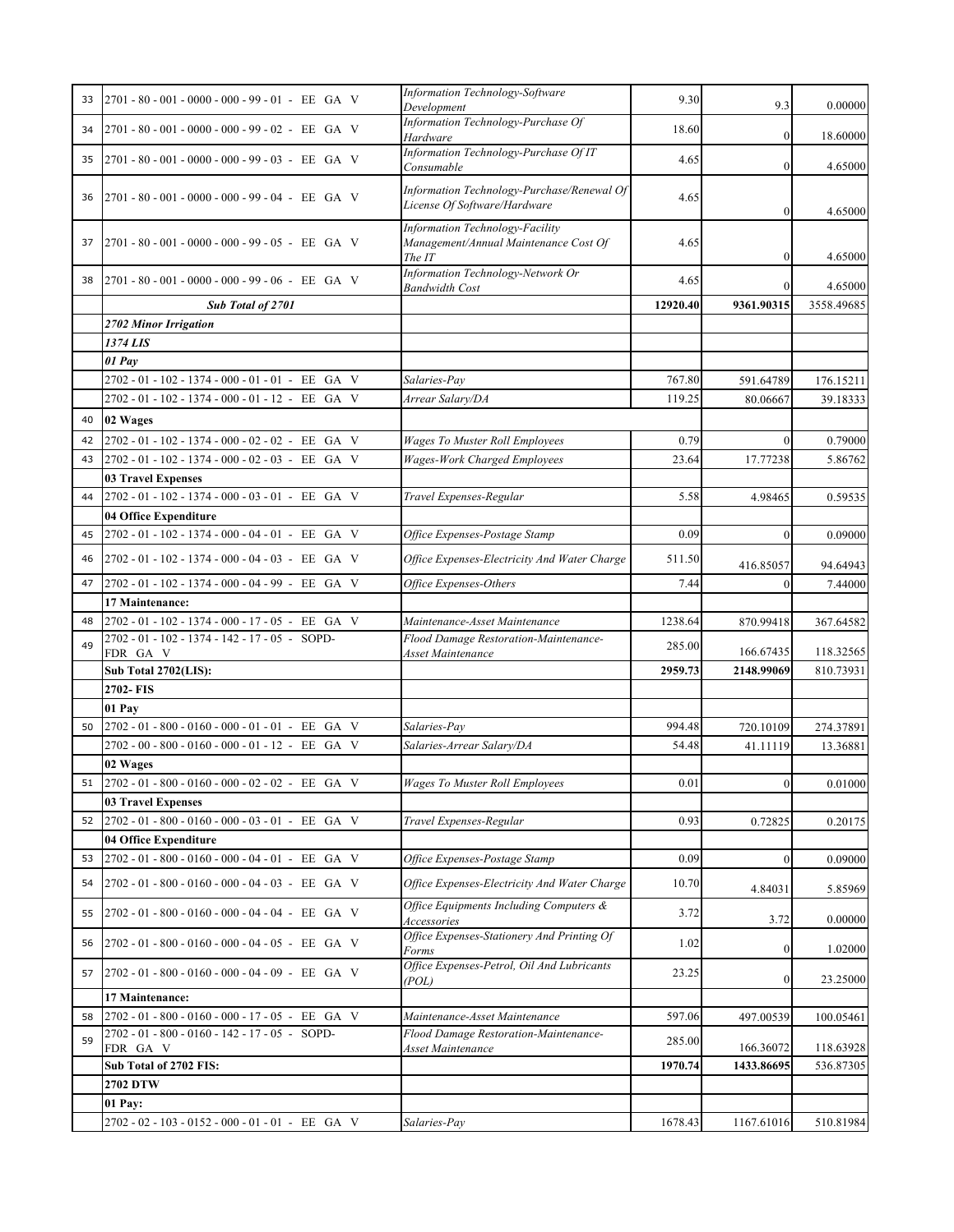| 33 | 2701 - 80 - 001 - 0000 - 000 - 99 - 01 - EE GA V           | Information Technology-Software<br>Development                                     | 9.30     | 9.3        | 0.00000    |
|----|------------------------------------------------------------|------------------------------------------------------------------------------------|----------|------------|------------|
| 34 | 2701 - 80 - 001 - 0000 - 000 - 99 - 02 - EE GA V           | Information Technology-Purchase Of<br>Hardware                                     | 18.60    | 0          | 18.60000   |
| 35 | 2701 - 80 - 001 - 0000 - 000 - 99 - 03 - EE GA V           | Information Technology-Purchase Of IT                                              | 4.65     | $\theta$   | 4.65000    |
| 36 | 2701 - 80 - 001 - 0000 - 000 - 99 - 04 - EE GA V           | Consumable<br>Information Technology-Purchase/Renewal Of                           | 4.65     |            |            |
|    |                                                            | License Of Software/Hardware                                                       |          | $^{(1)}$   | 4.65000    |
| 37 | $2701 - 80 - 001 - 0000 - 000 - 99 - 05 - EE$ GA V         | Information Technology-Facility<br>Management/Annual Maintenance Cost Of<br>The IT | 4.65     |            | 4.65000    |
| 38 | 2701 - 80 - 001 - 0000 - 000 - 99 - 06 - EE GA V           | Information Technology-Network Or<br><b>Bandwidth Cost</b>                         | 4.65     | $\Omega$   | 4.65000    |
|    | Sub Total of 2701                                          |                                                                                    | 12920.40 | 9361.90315 | 3558.49685 |
|    | 2702 Minor Irrigation                                      |                                                                                    |          |            |            |
|    | 1374 LIS                                                   |                                                                                    |          |            |            |
|    | 01 Pay                                                     |                                                                                    |          |            |            |
|    | 2702-01-102-1374-000-01-01-EE GA V                         | Salaries-Pay                                                                       | 767.80   | 591.64789  | 176.15211  |
|    | 2702-01-102-1374-000-01-12-EE GA V                         | Arrear Salary/DA                                                                   | 119.25   | 80.06667   | 39.18333   |
| 40 | 02 Wages                                                   |                                                                                    |          |            |            |
| 42 | 2702-01-102-1374-000-02-02-EE GA V                         | <b>Wages To Muster Roll Employees</b>                                              | 0.79     | $\Omega$   | 0.79000    |
| 43 | 2702-01-102-1374-000-02-03-EE GA V                         | <b>Wages-Work Charged Employees</b>                                                | 23.64    | 17.77238   | 5.86762    |
|    | <b>03 Travel Expenses</b>                                  |                                                                                    |          |            |            |
| 44 | 2702 - 01 - 102 - 1374 - 000 - 03 - 01 - EE GA V           | Travel Expenses-Regular                                                            | 5.58     | 4.98465    | 0.59535    |
|    | 04 Office Expenditure                                      |                                                                                    |          |            |            |
| 45 | 2702 - 01 - 102 - 1374 - 000 - 04 - 01 - EE GA V           | Office Expenses-Postage Stamp                                                      | 0.09     |            | 0.09000    |
| 46 | 2702 - 01 - 102 - 1374 - 000 - 04 - 03 - EE GA V           | Office Expenses-Electricity And Water Charge                                       | 511.50   | 416.85057  | 94.64943   |
| 47 | 2702-01-102-1374-000-04-99-EE GA V                         | Office Expenses-Others                                                             | 7.44     | 0          | 7.44000    |
|    | 17 Maintenance:                                            |                                                                                    |          |            |            |
| 48 | 2702-01-102-1374-000-17-05-EE GA V                         | Maintenance-Asset Maintenance                                                      | 1238.64  | 870.99418  | 367.64582  |
| 49 | 2702 - 01 - 102 - 1374 - 142 - 17 - 05 - SOPD-<br>FDR GA V | Flood Damage Restoration-Maintenance-<br>Asset Maintenance                         | 285.00   | 166.67435  | 118.32565  |
|    | Sub Total 2702(LIS):                                       |                                                                                    | 2959.73  | 2148.99069 | 810.73931  |
|    | 2702-FIS                                                   |                                                                                    |          |            |            |
|    | 01 Pay                                                     |                                                                                    |          |            |            |
| 50 | 2702-01-800-0160-000-01-01-EE GA V                         | Salaries-Pay                                                                       | 994.48   | 720.10109  | 274.37891  |
|    | 2702-00-800-0160-000-01-12-EE GA V                         | Salaries-Arrear Salary/DA                                                          | 54.48    | 41.11119   | 13.36881   |
|    | 02 Wages                                                   |                                                                                    |          |            |            |
|    | 51 $2702 - 01 - 800 - 0160 - 000 - 02 - 02$ - EE GA V      | <b>Wages To Muster Roll Employees</b>                                              | 0.01     |            | 0.01000    |
|    | <b>03 Travel Expenses</b>                                  |                                                                                    |          |            |            |
| 52 | 2702 - 01 - 800 - 0160 - 000 - 03 - 01 - EE GA V           | Travel Expenses-Regular                                                            | 0.93     | 0.72825    | 0.20175    |
|    | 04 Office Expenditure                                      |                                                                                    |          |            |            |
| 53 | 2702 - 01 - 800 - 0160 - 000 - 04 - 01 - EE GA V           | Office Expenses-Postage Stamp                                                      | 0.09     | 0          | 0.09000    |
| 54 | $2702 - 01 - 800 - 0160 - 000 - 04 - 03$ - EE GA V         | Office Expenses-Electricity And Water Charge                                       | 10.70    | 4.84031    | 5.85969    |
| 55 | $2702 - 01 - 800 - 0160 - 000 - 04 - 04 - EE$ GA V         | Office Equipments Including Computers &<br>Accessories                             | 3.72     | 3.72       | 0.00000    |
| 56 | 2702 - 01 - 800 - 0160 - 000 - 04 - 05 - EE GA V           | Office Expenses-Stationery And Printing Of<br>Forms                                | 1.02     | $\theta$   | 1.02000    |
| 57 | 2702 - 01 - 800 - 0160 - 000 - 04 - 09 - EE GA V           | Office Expenses-Petrol, Oil And Lubricants<br>(POL)                                | 23.25    |            | 23.25000   |
|    | 17 Maintenance:                                            |                                                                                    |          |            |            |
| 58 | 2702-01-800-0160-000-17-05-EE GA V                         | Maintenance-Asset Maintenance                                                      | 597.06   | 497.00539  | 100.05461  |
| 59 | 2702 - 01 - 800 - 0160 - 142 - 17 - 05 - SOPD-<br>FDR GA V | Flood Damage Restoration-Maintenance-<br>Asset Maintenance                         | 285.00   | 166.36072  | 118.63928  |
|    | Sub Total of 2702 FIS:                                     |                                                                                    | 1970.74  | 1433.86695 | 536.87305  |
|    | 2702 DTW                                                   |                                                                                    |          |            |            |
|    | 01 Pay:                                                    |                                                                                    |          |            |            |
|    | 2702 - 02 - 103 - 0152 - 000 - 01 - 01 - EE GA V           | Salaries-Pay                                                                       | 1678.43  | 1167.61016 | 510.81984  |
|    |                                                            |                                                                                    |          |            |            |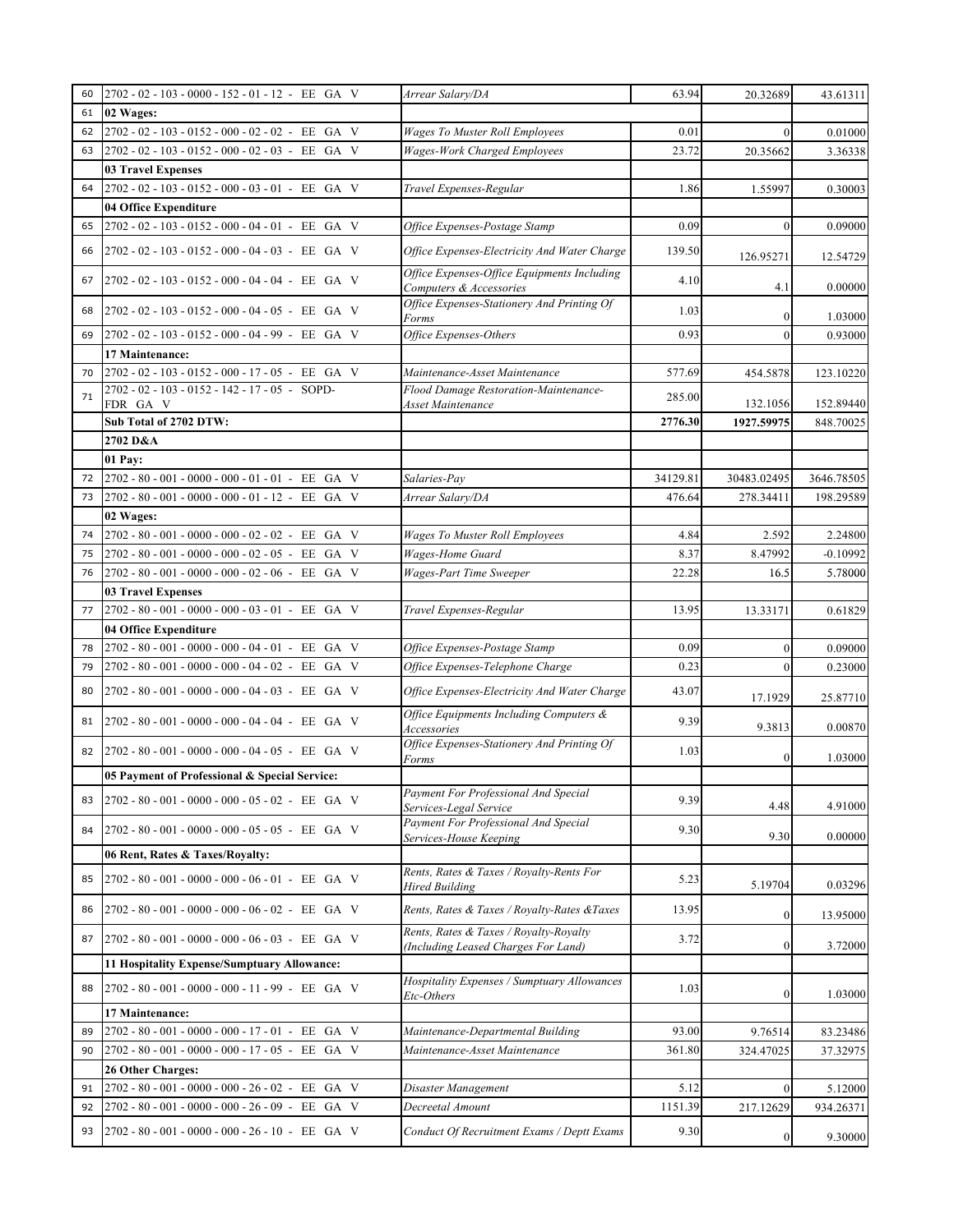| 60 | 2702 - 02 - 103 - 0000 - 152 - 01 - 12 - EE GA V   | Arrear Salary/DA                                                              | 63.94    | 20.32689    | 43.61311   |
|----|----------------------------------------------------|-------------------------------------------------------------------------------|----------|-------------|------------|
| 61 | 02 Wages:                                          |                                                                               |          |             |            |
| 62 | 2702-02-103-0152-000-02-02-EE GA V                 | <b>Wages To Muster Roll Employees</b>                                         | 0.01     | $\Omega$    | 0.01000    |
| 63 | 2702 - 02 - 103 - 0152 - 000 - 02 - 03 - EE GA V   | <b>Wages-Work Charged Employees</b>                                           | 23.72    | 20.35662    | 3.36338    |
|    | <b>03 Travel Expenses</b>                          |                                                                               |          |             |            |
| 64 | 2702-02-103-0152-000-03-01-EE GA V                 | Travel Expenses-Regular                                                       | 1.86     | 1.55997     | 0.30003    |
|    | 04 Office Expenditure                              |                                                                               |          |             |            |
| 65 | 2702 - 02 - 103 - 0152 - 000 - 04 - 01 - EE GA V   | Office Expenses-Postage Stamp                                                 | 0.09     | $\Omega$    | 0.09000    |
| 66 | 2702 - 02 - 103 - 0152 - 000 - 04 - 03 - EE GA V   | Office Expenses-Electricity And Water Charge                                  | 139.50   | 126.95271   | 12.54729   |
| 67 | 2702 - 02 - 103 - 0152 - 000 - 04 - 04 - EE GA V   | Office Expenses-Office Equipments Including<br>Computers & Accessories        | 4.10     | 4.1         | 0.00000    |
| 68 | 2702 - 02 - 103 - 0152 - 000 - 04 - 05 - EE GA V   | Office Expenses-Stationery And Printing Of<br>Forms                           | 1.03     |             | 1.03000    |
| 69 | 2702 - 02 - 103 - 0152 - 000 - 04 - 99 - EE GA V   | Office Expenses-Others                                                        | 0.93     |             | 0.93000    |
|    | 17 Maintenance:                                    |                                                                               |          |             |            |
| 70 | 2702-02-103-0152-000-17-05-EE GA V                 | Maintenance-Asset Maintenance                                                 | 577.69   | 454.5878    | 123.10220  |
| 71 | 2702 - 02 - 103 - 0152 - 142 - 17 - 05 - SOPD-     | Flood Damage Restoration-Maintenance-                                         | 285.00   |             |            |
|    | FDR GA V                                           | Asset Maintenance                                                             |          | 132.1056    | 152.89440  |
|    | Sub Total of 2702 DTW:                             |                                                                               | 2776.30  | 1927.59975  | 848.70025  |
|    | 2702 D&A                                           |                                                                               |          |             |            |
|    | 01 Pay:                                            |                                                                               |          |             |            |
| 72 | 2702 - 80 - 001 - 0000 - 000 - 01 - 01 - EE GA V   | Salaries-Pay                                                                  | 34129.81 | 30483.02495 | 3646.78505 |
| 73 | 2702 - 80 - 001 - 0000 - 000 - 01 - 12 - EE GA V   | Arrear Salary/DA                                                              | 476.64   | 278.34411   | 198.29589  |
|    | 02 Wages:                                          |                                                                               |          |             |            |
| 74 | 2702 - 80 - 001 - 0000 - 000 - 02 - 02 - EE GA V   | Wages To Muster Roll Employees                                                | 4.84     | 2.592       | 2.24800    |
| 75 | 2702 - 80 - 001 - 0000 - 000 - 02 - 05 - EE GA V   | Wages-Home Guard                                                              | 8.37     | 8.47992     | $-0.10992$ |
| 76 | 2702 - 80 - 001 - 0000 - 000 - 02 - 06 - EE GA V   | Wages-Part Time Sweeper                                                       | 22.28    | 16.5        | 5.78000    |
|    | <b>03 Travel Expenses</b>                          |                                                                               |          |             |            |
| 77 | 2702 - 80 - 001 - 0000 - 000 - 03 - 01 - EE GA V   | Travel Expenses-Regular                                                       | 13.95    | 13.33171    | 0.61829    |
|    | 04 Office Expenditure                              |                                                                               |          |             |            |
| 78 | 2702 - 80 - 001 - 0000 - 000 - 04 - 01 - EE GA V   | Office Expenses-Postage Stamp                                                 | 0.09     | $\Omega$    | 0.09000    |
| 79 | 2702 - 80 - 001 - 0000 - 000 - 04 - 02 - EE GA V   | Office Expenses-Telephone Charge                                              | 0.23     | $\theta$    | 0.23000    |
| 80 | $2702 - 80 - 001 - 0000 - 000 - 04 - 03 - EE$ GA V | Office Expenses-Electricity And Water Charge                                  | 43.07    | 17.1929     | 25.87710   |
| 81 | 2702 - 80 - 001 - 0000 - 000 - 04 - 04 - EE GA V   | Office Equipments Including Computers &<br>Accessories                        | 9.39     | 9.3813      | 0.00870    |
| 82 | 2702 - 80 - 001 - 0000 - 000 - 04 - 05 - EE GA V   | Office Expenses-Stationery And Printing Of<br>Forms                           | 1.03     |             | 1.03000    |
|    | 05 Payment of Professional & Special Service:      |                                                                               |          |             |            |
| 83 | 2702 - 80 - 001 - 0000 - 000 - 05 - 02 - EE GA V   | Payment For Professional And Special<br>Services-Legal Service                | 9.39     | 4.48        | 4.91000    |
| 84 | 2702 - 80 - 001 - 0000 - 000 - 05 - 05 - EE GA V   | Payment For Professional And Special<br>Services-House Keeping                | 9.30     | 9.30        | 0.00000    |
|    | 06 Rent, Rates & Taxes/Royalty:                    |                                                                               |          |             |            |
| 85 | 2702 - 80 - 001 - 0000 - 000 - 06 - 01 - EE GA V   | Rents, Rates & Taxes / Royalty-Rents For<br><b>Hired Building</b>             | 5.23     | 5.19704     | 0.03296    |
| 86 | 2702 - 80 - 001 - 0000 - 000 - 06 - 02 - EE GA V   | Rents, Rates & Taxes / Royalty-Rates & Taxes                                  | 13.95    | 0           | 13.95000   |
| 87 | 2702 - 80 - 001 - 0000 - 000 - 06 - 03 - EE GA V   | Rents, Rates & Taxes / Royalty-Royalty<br>(Including Leased Charges For Land) | 3.72     | $\theta$    | 3.72000    |
|    | 11 Hospitality Expense/Sumptuary Allowance:        |                                                                               |          |             |            |
| 88 | 2702 - 80 - 001 - 0000 - 000 - 11 - 99 - EE GA V   | Hospitality Expenses / Sumptuary Allowances<br>Etc-Others                     | 1.03     | $\theta$    | 1.03000    |
|    | 17 Maintenance:                                    |                                                                               |          |             |            |
| 89 | $2702 - 80 - 001 - 0000 - 000 - 17 - 01$ - EE GA V | Maintenance-Departmental Building                                             | 93.00    | 9.76514     | 83.23486   |
| 90 | 2702 - 80 - 001 - 0000 - 000 - 17 - 05 - EE GA V   | Maintenance-Asset Maintenance                                                 | 361.80   | 324.47025   | 37.32975   |
|    | 26 Other Charges:                                  |                                                                               |          |             |            |
| 91 | $2702 - 80 - 001 - 0000 - 000 - 26 - 02$ - EE GA V | Disaster Management                                                           | 5.12     | $\theta$    | 5.12000    |
| 92 | 2702-80-001-0000-000-26-09-EE GA V                 | Decreetal Amount                                                              | 1151.39  | 217.12629   | 934.26371  |
| 93 | $2702 - 80 - 001 - 0000 - 000 - 26 - 10 - EE$ GA V | Conduct Of Recruitment Exams / Deptt Exams                                    | 9.30     |             | 9.30000    |